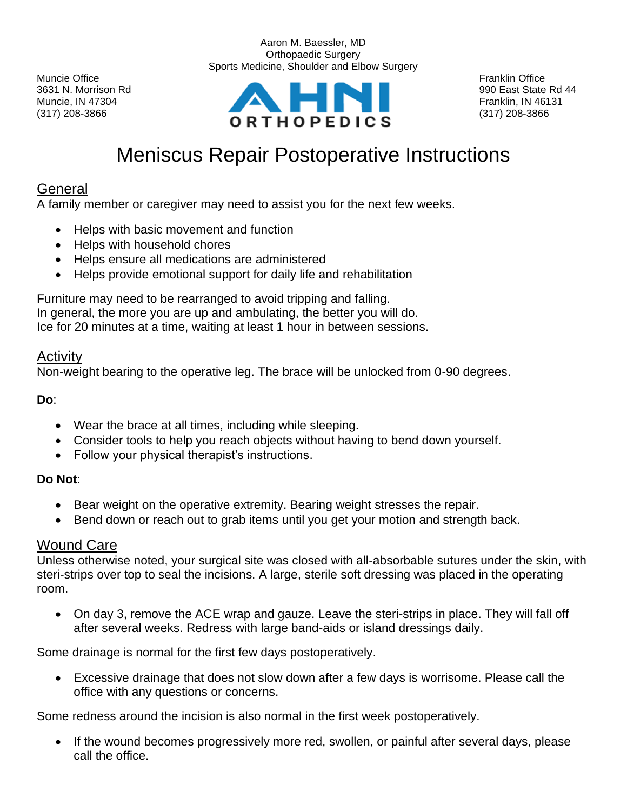(317) 208-3866 (317) 208-3866



Aaron M. Baessler, MD

# Meniscus Repair Postoperative Instructions

## General

A family member or caregiver may need to assist you for the next few weeks.

- Helps with basic movement and function
- Helps with household chores
- Helps ensure all medications are administered
- Helps provide emotional support for daily life and rehabilitation

Furniture may need to be rearranged to avoid tripping and falling. In general, the more you are up and ambulating, the better you will do. Ice for 20 minutes at a time, waiting at least 1 hour in between sessions.

### **Activity**

Non-weight bearing to the operative leg. The brace will be unlocked from 0-90 degrees.

**Do**:

- Wear the brace at all times, including while sleeping.
- Consider tools to help you reach objects without having to bend down yourself.
- Follow your physical therapist's instructions.

#### **Do Not**:

- Bear weight on the operative extremity. Bearing weight stresses the repair.
- Bend down or reach out to grab items until you get your motion and strength back.

#### Wound Care

Unless otherwise noted, your surgical site was closed with all-absorbable sutures under the skin, with steri-strips over top to seal the incisions. A large, sterile soft dressing was placed in the operating room.

• On day 3, remove the ACE wrap and gauze. Leave the steri-strips in place. They will fall off after several weeks. Redress with large band-aids or island dressings daily.

Some drainage is normal for the first few days postoperatively.

• Excessive drainage that does not slow down after a few days is worrisome. Please call the office with any questions or concerns.

Some redness around the incision is also normal in the first week postoperatively.

• If the wound becomes progressively more red, swollen, or painful after several days, please call the office.